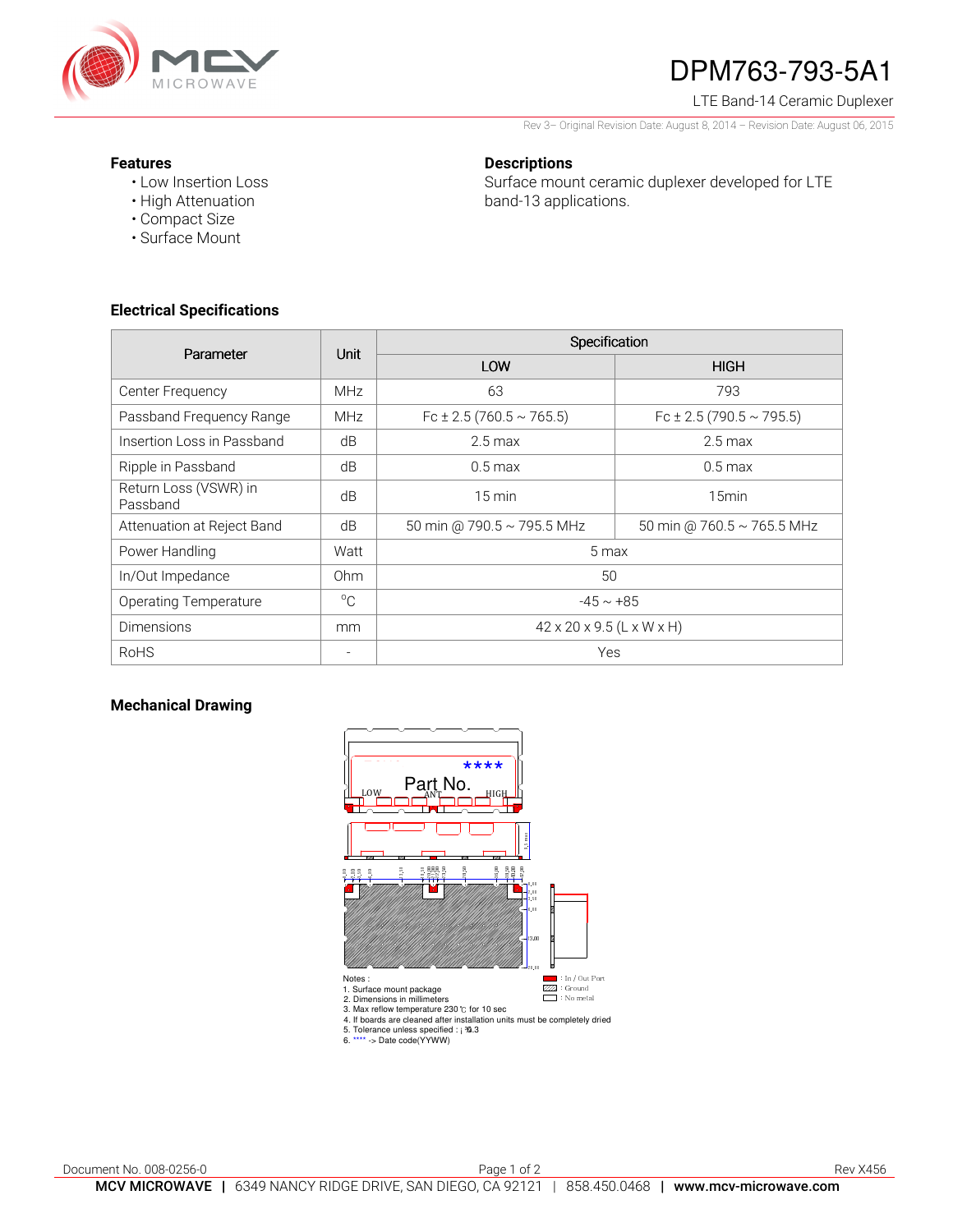

# DPM763-793-5A1

LTE Band-14 Ceramic Duplexer

Rev 3– Original Revision Date: August 8, 2014 – Revision Date: August 06, 2015

### **Features**

• Low Insertion Loss

**Descriptions** 

Surface mount ceramic duplexer developed for LTE band-13 applications.

- High Attenuation
- Compact Size
- Surface Mount

## **Electrical Specifications**

| Parameter                         | <b>Unit</b>     | Specification                         |                              |
|-----------------------------------|-----------------|---------------------------------------|------------------------------|
|                                   |                 | LOW                                   | <b>HIGH</b>                  |
| Center Frequency                  | <b>MHz</b>      | 63                                    | 793                          |
| Passband Frequency Range          | <b>MHz</b>      | Fc ± 2.5 (760.5 $\sim$ 765.5)         | Fc $\pm$ 2.5 (790.5 ~ 795.5) |
| Insertion Loss in Passband        | dB              | $2.5 \,\mathrm{max}$                  | $2.5 \text{ max}$            |
| Ripple in Passband                | dB              | $0.5 \,\mathrm{max}$                  | $0.5 \text{ max}$            |
| Return Loss (VSWR) in<br>Passband | dB              | $15 \text{ min}$                      | 15 <sub>min</sub>            |
| Attenuation at Reject Band        | dB              | 50 min @ 790.5 ~ 795.5 MHz            | 50 min @ 760.5 ~ 765.5 MHz   |
| Power Handling                    | Watt            | 5 max                                 |                              |
| In/Out Impedance                  | 0 <sub>hm</sub> | 50                                    |                              |
| Operating Temperature             | $^{\circ}C$     | $-45 \sim +85$                        |                              |
| <b>Dimensions</b>                 | mm              | $42 \times 20 \times 9.5$ (L x W x H) |                              |
| <b>RoHS</b>                       | $\equiv$        | Yes                                   |                              |

## **Mechanical Drawing**